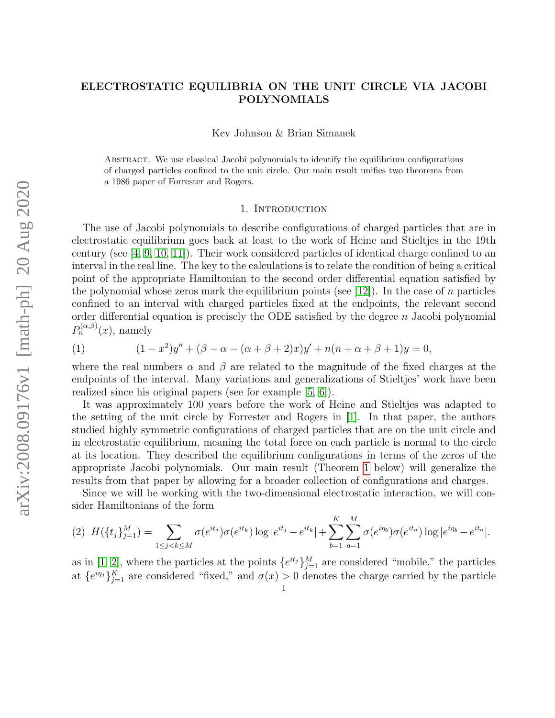# ELECTROSTATIC EQUILIBRIA ON THE UNIT CIRCLE VIA JACOBI POLYNOMIALS

Kev Johnson & Brian Simanek

Abstract. We use classical Jacobi polynomials to identify the equilibrium configurations of charged particles confined to the unit circle. Our main result unifies two theorems from a 1986 paper of Forrester and Rogers.

### 1. INTRODUCTION

The use of Jacobi polynomials to describe configurations of charged particles that are in electrostatic equilibrium goes back at least to the work of Heine and Stieltjes in the 19th century (see [\[4,](#page-7-0) [9,](#page-7-1) [10,](#page-7-2) [11\]](#page-7-3)). Their work considered particles of identical charge confined to an interval in the real line. The key to the calculations is to relate the condition of being a critical point of the appropriate Hamiltonian to the second order differential equation satisfied by the polynomial whose zeros mark the equilibrium points (see  $[12]$ ). In the case of n particles confined to an interval with charged particles fixed at the endpoints, the relevant second order differential equation is precisely the ODE satisfied by the degree  $n$  Jacobi polynomial  $P_n^{(\alpha,\beta)}(x)$ , namely

 $(1)$ 

<span id="page-0-1"></span>
$$
(1 - x2)y'' + (\beta - \alpha - (\alpha + \beta + 2)x)y' + n(n + \alpha + \beta + 1)y = 0,
$$

where the real numbers  $\alpha$  and  $\beta$  are related to the magnitude of the fixed charges at the endpoints of the interval. Many variations and generalizations of Stieltjes' work have been realized since his original papers (see for example [\[5,](#page-7-5) [6\]](#page-7-6)).

It was approximately 100 years before the work of Heine and Stieltjes was adapted to the setting of the unit circle by Forrester and Rogers in [\[1\]](#page-7-7). In that paper, the authors studied highly symmetric configurations of charged particles that are on the unit circle and in electrostatic equilibrium, meaning the total force on each particle is normal to the circle at its location. They described the equilibrium configurations in terms of the zeros of the appropriate Jacobi polynomials. Our main result (Theorem [1](#page-1-0) below) will generalize the results from that paper by allowing for a broader collection of configurations and charges.

Since we will be working with the two-dimensional electrostatic interaction, we will consider Hamiltonians of the form

<span id="page-0-0"></span>
$$
(2) \ \ H(\{t_j\}_{j=1}^M) = \sum_{1 \leq j < k \leq M} \sigma(e^{it_j})\sigma(e^{it_k}) \log|e^{it_j} - e^{it_k}| + \sum_{b=1}^K \sum_{a=1}^M \sigma(e^{i\eta_b})\sigma(e^{it_a}) \log|e^{i\eta_b} - e^{it_a}|.
$$

as in [\[1,](#page-7-7) [2\]](#page-7-8), where the particles at the points  $\{e^{it_j}\}_{j=1}^M$  are considered "mobile," the particles at  $\{e^{i\eta_j}\}_{j=1}^K$  are considered "fixed," and  $\sigma(x) > 0$  denotes the charge carried by the particle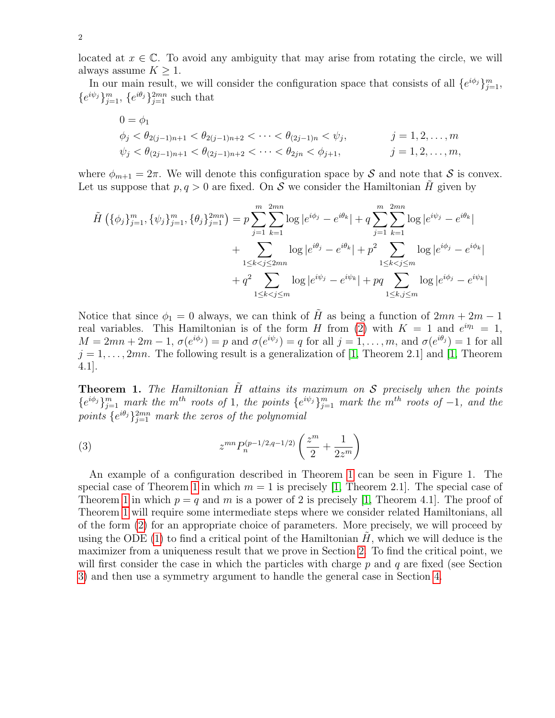located at  $x \in \mathbb{C}$ . To avoid any ambiguity that may arise from rotating the circle, we will always assume  $K \geq 1$ .

In our main result, we will consider the configuration space that consists of all  $\{e^{i\phi_j}\}_{j=1}^m$ ,  ${e^{i\psi_j}}_{j=1}^m$ ,  ${e^{i\theta_j}}_{j=1}^{2mn}$  such that

$$
0 = \phi_1
$$
  
\n
$$
\phi_j < \theta_{2(j-1)n+1} < \theta_{2(j-1)n+2} < \cdots < \theta_{(2j-1)n} < \psi_j, \qquad j = 1, 2, \dots, m
$$
  
\n
$$
\psi_j < \theta_{(2j-1)n+1} < \theta_{(2j-1)n+2} < \cdots < \theta_{2jn} < \phi_{j+1}, \qquad j = 1, 2, \dots, m,
$$

where  $\phi_{m+1} = 2\pi$ . We will denote this configuration space by S and note that S is convex. Let us suppose that  $p, q > 0$  are fixed. On S we consider the Hamiltonian H given by

$$
\tilde{H}\left(\{\phi_j\}_{j=1}^m, \{\psi_j\}_{j=1}^m, \{\theta_j\}_{j=1}^{2mn}\right) = p \sum_{j=1}^m \sum_{k=1}^{2mn} \log |e^{i\phi_j} - e^{i\theta_k}| + q \sum_{j=1}^m \sum_{k=1}^{2mn} \log |e^{i\psi_j} - e^{i\theta_k}|
$$
\n
$$
+ \sum_{1 \le k < j \le 2mn} \log |e^{i\theta_j} - e^{i\theta_k}| + p^2 \sum_{1 \le k < j \le m} \log |e^{i\phi_j} - e^{i\phi_k}|
$$
\n
$$
+ q^2 \sum_{1 \le k < j \le m} \log |e^{i\psi_j} - e^{i\psi_k}| + pq \sum_{1 \le k, j \le m} \log |e^{i\phi_j} - e^{i\psi_k}|
$$

Notice that since  $\phi_1 = 0$  always, we can think of  $\tilde{H}$  as being a function of  $2mn + 2m - 1$ real variables. This Hamiltonian is of the form H from [\(2\)](#page-0-0) with  $K = 1$  and  $e^{i\eta_1} = 1$ ,  $M=2mn+2m-1, \sigma(e^{i\phi_j})=p$  and  $\sigma(e^{i\psi_j})=q$  for all  $j=1,\ldots,m$ , and  $\sigma(e^{i\theta_j})=1$  for all  $j = 1, \ldots, 2mn$ . The following result is a generalization of [\[1,](#page-7-7) Theorem 2.1] and [1, Theorem 4.1].

<span id="page-1-0"></span>**Theorem 1.** The Hamiltonian  $\tilde{H}$  attains its maximum on S precisely when the points  $\{e^{i\phi_j}\}_{j=1}^m$  mark the m<sup>th</sup> roots of 1, the points  $\{e^{i\psi_j}\}_{j=1}^m$  mark the m<sup>th</sup> roots of -1, and the points  $\{e^{i\theta_j}\}_{j=1}^{2mn}$  mark the zeros of the polynomial

<span id="page-1-1"></span>(3) 
$$
z^{mn} P_n^{(p-1/2,q-1/2)} \left( \frac{z^m}{2} + \frac{1}{2z^m} \right)
$$

An example of a configuration described in Theorem [1](#page-1-0) can be seen in Figure 1. The special case of Theorem [1](#page-1-0) in which  $m = 1$  is precisely [\[1,](#page-7-7) Theorem 2.1]. The special case of Theorem [1](#page-1-0) in which  $p = q$  and m is a power of 2 is precisely [\[1,](#page-7-7) Theorem 4.1]. The proof of Theorem [1](#page-1-0) will require some intermediate steps where we consider related Hamiltonians, all of the form [\(2\)](#page-0-0) for an appropriate choice of parameters. More precisely, we will proceed by using the ODE  $(1)$  to find a critical point of the Hamiltonian H, which we will deduce is the maximizer from a uniqueness result that we prove in Section [2.](#page-2-0) To find the critical point, we will first consider the case in which the particles with charge  $p$  and  $q$  are fixed (see Section [3\)](#page-4-0) and then use a symmetry argument to handle the general case in Section [4.](#page-6-0)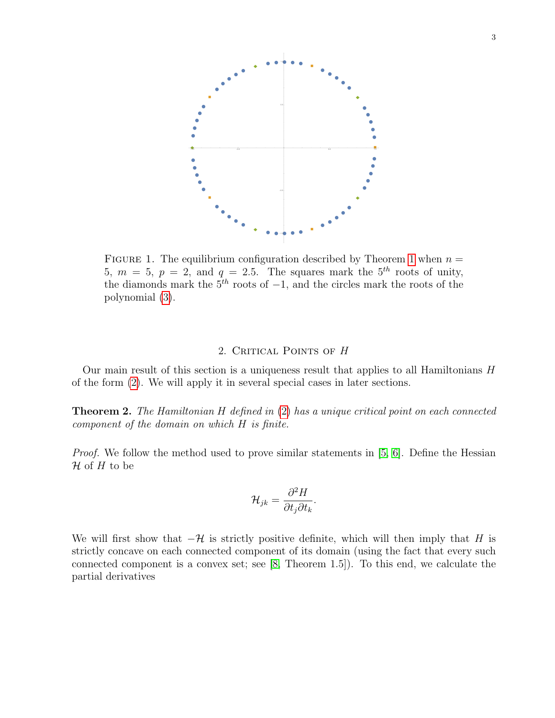

FIGURE [1](#page-1-0). The equilibrium configuration described by Theorem 1 when  $n =$ 5,  $m = 5$ ,  $p = 2$ , and  $q = 2.5$ . The squares mark the  $5<sup>th</sup>$  roots of unity, the diamonds mark the  $5<sup>th</sup>$  roots of  $-1$ , and the circles mark the roots of the polynomial [\(3\)](#page-1-1).

## 2. CRITICAL POINTS OF H

<span id="page-2-0"></span>Our main result of this section is a uniqueness result that applies to all Hamiltonians  $H$ of the form [\(2\)](#page-0-0). We will apply it in several special cases in later sections.

<span id="page-2-1"></span>Theorem 2. The Hamiltonian H defined in [\(2\)](#page-0-0) has a unique critical point on each connected component of the domain on which H is finite.

Proof. We follow the method used to prove similar statements in [\[5,](#page-7-5) [6\]](#page-7-6). Define the Hessian  $\mathcal H$  of  $H$  to be

$$
\mathcal{H}_{jk} = \frac{\partial^2 H}{\partial t_j \partial t_k}.
$$

We will first show that  $-\mathcal{H}$  is strictly positive definite, which will then imply that H is strictly concave on each connected component of its domain (using the fact that every such connected component is a convex set; see [\[8,](#page-7-9) Theorem 1.5]). To this end, we calculate the partial derivatives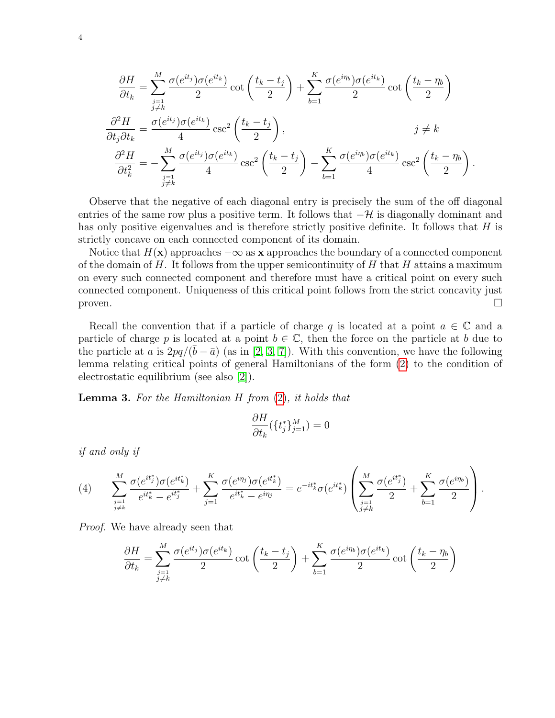$$
\frac{\partial H}{\partial t_k} = \sum_{\substack{j=1 \ j\neq k}}^M \frac{\sigma(e^{it_j})\sigma(e^{it_k})}{2} \cot\left(\frac{t_k - t_j}{2}\right) + \sum_{b=1}^K \frac{\sigma(e^{i\eta_b})\sigma(e^{it_k})}{2} \cot\left(\frac{t_k - \eta_b}{2}\right)
$$
\n
$$
\frac{\partial^2 H}{\partial t_j \partial t_k} = \frac{\sigma(e^{it_j})\sigma(e^{it_k})}{4} \csc^2\left(\frac{t_k - t_j}{2}\right), \qquad j \neq k
$$
\n
$$
\frac{\partial^2 H}{\partial t_k^2} = -\sum_{\substack{j=1 \ j\neq k}}^M \frac{\sigma(e^{it_j})\sigma(e^{it_k})}{4} \csc^2\left(\frac{t_k - t_j}{2}\right) - \sum_{b=1}^K \frac{\sigma(e^{i\eta_b})\sigma(e^{it_k})}{4} \csc^2\left(\frac{t_k - \eta_b}{2}\right).
$$

Observe that the negative of each diagonal entry is precisely the sum of the off diagonal entries of the same row plus a positive term. It follows that  $-\mathcal{H}$  is diagonally dominant and has only positive eigenvalues and is therefore strictly positive definite. It follows that  $H$  is strictly concave on each connected component of its domain.

Notice that  $H(\mathbf{x})$  approaches  $-\infty$  as x approaches the boundary of a connected component of the domain of  $H$ . It follows from the upper semicontinuity of  $H$  that  $H$  attains a maximum on every such connected component and therefore must have a critical point on every such connected component. Uniqueness of this critical point follows from the strict concavity just proven.  $\Box$ 

Recall the convention that if a particle of charge q is located at a point  $a \in \mathbb{C}$  and a particle of charge p is located at a point  $b \in \mathbb{C}$ , then the force on the particle at b due to the particle at a is  $2pq/(\bar{b}-\bar{a})$  (as in [\[2,](#page-7-8) [3,](#page-7-10) [7\]](#page-7-11)). With this convention, we have the following lemma relating critical points of general Hamiltonians of the form [\(2\)](#page-0-0) to the condition of electrostatic equilibrium (see also [\[2\]](#page-7-8)).

<span id="page-3-0"></span>**Lemma 3.** For the Hamiltonian  $H$  from  $(2)$ , it holds that

$$
\frac{\partial H}{\partial t_k}(\{t_j^*\}_{j=1}^M)=0
$$

if and only if

<span id="page-3-1"></span>
$$
(4) \qquad \sum_{\substack{j=1 \ j\neq k}}^M \frac{\sigma(e^{it_j^*)}\sigma(e^{it_k^*)}}{e^{it_k^*} - e^{it_j^*}} + \sum_{j=1}^K \frac{\sigma(e^{i\eta_j})\sigma(e^{it_k^*)}}{e^{it_k^*} - e^{i\eta_j}} = e^{-it_k^*}\sigma(e^{it_k^*)} \left(\sum_{\substack{j=1 \ j\neq k}}^M \frac{\sigma(e^{it_j^*})}{2} + \sum_{b=1}^K \frac{\sigma(e^{i\eta_b})}{2}\right).
$$

Proof. We have already seen that

$$
\frac{\partial H}{\partial t_k} = \sum_{\substack{j=1 \ j \neq k}}^M \frac{\sigma(e^{it_j})\sigma(e^{it_k})}{2} \cot\left(\frac{t_k - t_j}{2}\right) + \sum_{b=1}^K \frac{\sigma(e^{i\eta_b})\sigma(e^{it_k})}{2} \cot\left(\frac{t_k - \eta_b}{2}\right)
$$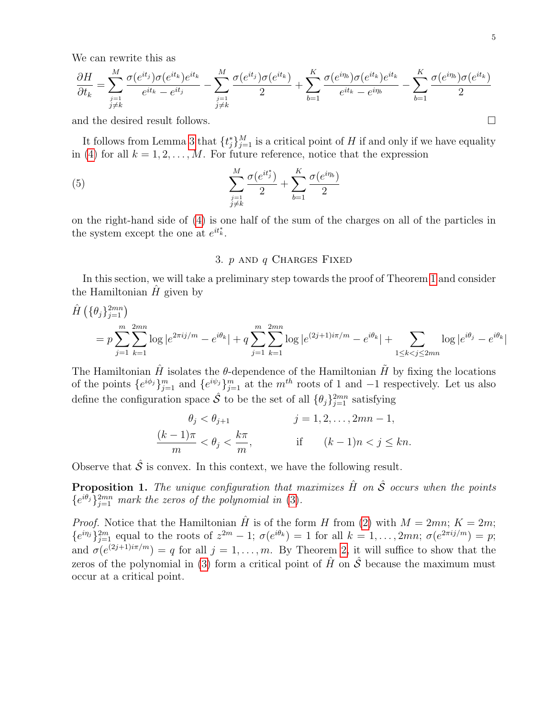We can rewrite this as

$$
\frac{\partial H}{\partial t_k} = \sum_{\substack{j=1 \ j\neq k}}^M \frac{\sigma(e^{it_j})\sigma(e^{it_k})e^{it_k}}{e^{it_k} - e^{it_j}} - \sum_{\substack{j=1 \ j\neq k}}^M \frac{\sigma(e^{it_j})\sigma(e^{it_k})}{2} + \sum_{b=1}^K \frac{\sigma(e^{i\eta_b})\sigma(e^{it_k})e^{it_k}}{e^{it_k} - e^{i\eta_b}} - \sum_{b=1}^K \frac{\sigma(e^{i\eta_b})\sigma(e^{it_k})}{2}
$$

and the desired result follows.

It follows from Lemma [3](#page-3-0) that  $\{t_j^*\}_{j=1}^M$  is a critical point of H if and only if we have equality in [\(4\)](#page-3-1) for all  $k = 1, 2, ..., M$ . For future reference, notice that the expression

(5) 
$$
\sum_{\substack{j=1 \ j\neq k}}^M \frac{\sigma(e^{it_j^*})}{2} + \sum_{b=1}^K \frac{\sigma(e^{i\eta_b})}{2}
$$

on the right-hand side of [\(4\)](#page-3-1) is one half of the sum of the charges on all of the particles in the system except the one at  $e^{it^*_{k}}$ .

### <span id="page-4-1"></span>3.  $p$  and  $q$  Charges Fixed

<span id="page-4-0"></span>In this section, we will take a preliminary step towards the proof of Theorem [1](#page-1-0) and consider the Hamiltonian  $H$  given by

$$
\hat{H}\left(\{\theta_j\}_{j=1}^{2mn}\right)
$$
\n
$$
= p \sum_{j=1}^m \sum_{k=1}^{2mn} \log |e^{2\pi i j/m} - e^{i\theta_k}| + q \sum_{j=1}^m \sum_{k=1}^{2mn} \log |e^{(2j+1)i\pi/m} - e^{i\theta_k}| + \sum_{1 \le k < j \le 2mn} \log |e^{i\theta_j} - e^{i\theta_k}|
$$

The Hamiltonian  $\hat{H}$  isolates the  $\theta$ -dependence of the Hamiltonian  $\hat{H}$  by fixing the locations of the points  $\{e^{i\phi_j}\}_{j=1}^m$  and  $\{e^{i\psi_j}\}_{j=1}^m$  at the  $m^{th}$  roots of 1 and  $-1$  respectively. Let us also define the configuration space  $\hat{\mathcal{S}}$  to be the set of all  $\{\theta_j\}_{j=1}^{2mn}$  satisfying

$$
\theta_j < \theta_{j+1} \qquad j = 1, 2, \dots, 2mn - 1,
$$
\n
$$
\frac{(k-1)\pi}{m} < \theta_j < \frac{k\pi}{m}, \qquad \text{if} \qquad (k-1)n < j \leq kn.
$$

Observe that  $\hat{\mathcal{S}}$  is convex. In this context, we have the following result.

<span id="page-4-2"></span>**Proposition 1.** The unique configuration that maximizes  $\hat{H}$  on  $\hat{\mathcal{S}}$  occurs when the points  $\{e^{i\theta_j}\}_{j=1}^{2mn}$  mark the zeros of the polynomial in [\(3\)](#page-1-1).

*Proof.* Notice that the Hamiltonian  $\hat{H}$  is of the form H from [\(2\)](#page-0-0) with  $M = 2mn$ ;  $K = 2m$ ;  ${e^{i\eta_j}}_{j=1}^{2m}$  equal to the roots of  $z^{2m} - 1$ ;  $\sigma(e^{i\theta_k}) = 1$  for all  $k = 1, \ldots, 2mn$ ;  $\sigma(e^{2\pi i j/m}) = p$ ; and  $\sigma(e^{(2j+1)i\pi/m}) = q$  for all  $j = 1, \ldots, m$ . By Theorem [2,](#page-2-1) it will suffice to show that the zeros of the polynomial in [\(3\)](#page-1-1) form a critical point of  $\hat{H}$  on  $\hat{\mathcal{S}}$  because the maximum must occur at a critical point.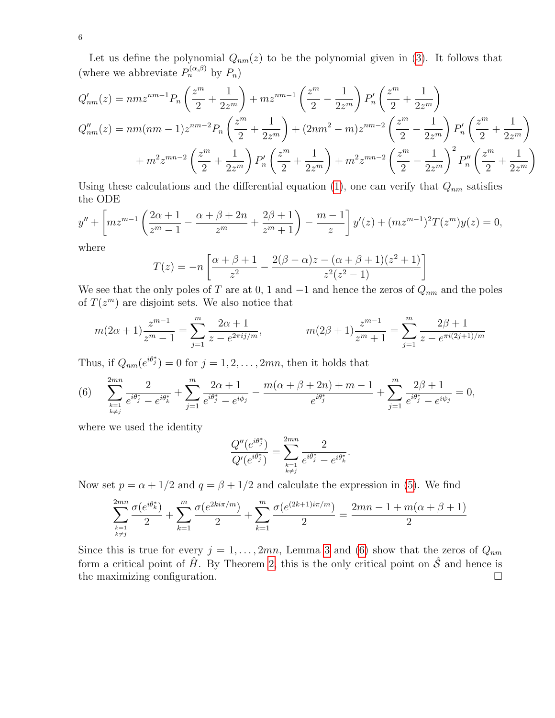Let us define the polynomial  $Q_{nm}(z)$  to be the polynomial given in [\(3\)](#page-1-1). It follows that (where we abbreviate  $P_n^{(\alpha,\beta)}$  by  $P_n$ )

$$
Q'_{nm}(z) = nmz^{nm-1}P_n\left(\frac{z^m}{2} + \frac{1}{2z^m}\right) + mz^{nm-1}\left(\frac{z^m}{2} - \frac{1}{2z^m}\right)P'_n\left(\frac{z^m}{2} + \frac{1}{2z^m}\right)
$$
  
\n
$$
Q''_{nm}(z) = nm(nm-1)z^{nm-2}P_n\left(\frac{z^m}{2} + \frac{1}{2z^m}\right) + (2nm^2 - m)z^{nm-2}\left(\frac{z^m}{2} - \frac{1}{2z^m}\right)P'_n\left(\frac{z^m}{2} + \frac{1}{2z^m}\right)
$$
  
\n
$$
+ m^2z^{mn-2}\left(\frac{z^m}{2} + \frac{1}{2z^m}\right)P'_n\left(\frac{z^m}{2} + \frac{1}{2z^m}\right) + m^2z^{mn-2}\left(\frac{z^m}{2} - \frac{1}{2z^m}\right)^2P''_n\left(\frac{z^m}{2} + \frac{1}{2z^m}\right)
$$

Using these calculations and the differential equation [\(1\)](#page-0-1), one can verify that  $Q_{nm}$  satisfies the ODE

$$
y'' + \left[ m z^{m-1} \left( \frac{2\alpha + 1}{z^m - 1} - \frac{\alpha + \beta + 2n}{z^m} + \frac{2\beta + 1}{z^m + 1} \right) - \frac{m-1}{z} \right] y'(z) + (m z^{m-1})^2 T(z^m) y(z) = 0,
$$

where

$$
T(z) = -n \left[ \frac{\alpha + \beta + 1}{z^2} - \frac{2(\beta - \alpha)z - (\alpha + \beta + 1)(z^2 + 1)}{z^2(z^2 - 1)} \right]
$$

We see that the only poles of T are at 0, 1 and  $-1$  and hence the zeros of  $Q_{nm}$  and the poles of  $T(z^m)$  are disjoint sets. We also notice that

$$
m(2\alpha+1)\frac{z^{m-1}}{z^m-1} = \sum_{j=1}^m \frac{2\alpha+1}{z - e^{2\pi i j/m}}, \qquad m(2\beta+1)\frac{z^{m-1}}{z^m+1} = \sum_{j=1}^m \frac{2\beta+1}{z - e^{\pi i (2j+1)/m}}
$$

Thus, if  $Q_{nm}(e^{i\theta_j^*}) = 0$  for  $j = 1, 2, ..., 2mn$ , then it holds that

<span id="page-5-0"></span>(6) 
$$
\sum_{\substack{k=1\\k\neq j}}^{2mn} \frac{2}{e^{i\theta_j^*} - e^{i\theta_k^*}} + \sum_{j=1}^m \frac{2\alpha + 1}{e^{i\theta_j^*} - e^{i\phi_j}} - \frac{m(\alpha + \beta + 2n) + m - 1}{e^{i\theta_j^*}} + \sum_{j=1}^m \frac{2\beta + 1}{e^{i\theta_j^*} - e^{i\psi_j}} = 0,
$$

where we used the identity

$$
\frac{Q''(e^{i\theta_j^*})}{Q'(e^{i\theta_j^*})} = \sum_{\stackrel{k=1}{k\neq j}}^{2mn} \frac{2}{e^{i\theta_j^*} - e^{i\theta_k^*}}
$$

.

Now set  $p = \alpha + 1/2$  and  $q = \beta + 1/2$  and calculate the expression in [\(5\)](#page-4-1). We find

$$
\sum_{\substack{k=1\\k\neq j}}^{2mn} \frac{\sigma(e^{i\theta_k^*})}{2} + \sum_{k=1}^m \frac{\sigma(e^{2ki\pi/m})}{2} + \sum_{k=1}^m \frac{\sigma(e^{(2k+1)i\pi/m})}{2} = \frac{2mn - 1 + m(\alpha + \beta + 1)}{2}
$$

Since this is true for every  $j = 1, \ldots, 2mn$ , Lemma [3](#page-3-0) and [\(6\)](#page-5-0) show that the zeros of  $Q_{nm}$ form a critical point of  $\hat{H}$ . By Theorem [2,](#page-2-1) this is the only critical point on  $\hat{S}$  and hence is the maximizing configuration.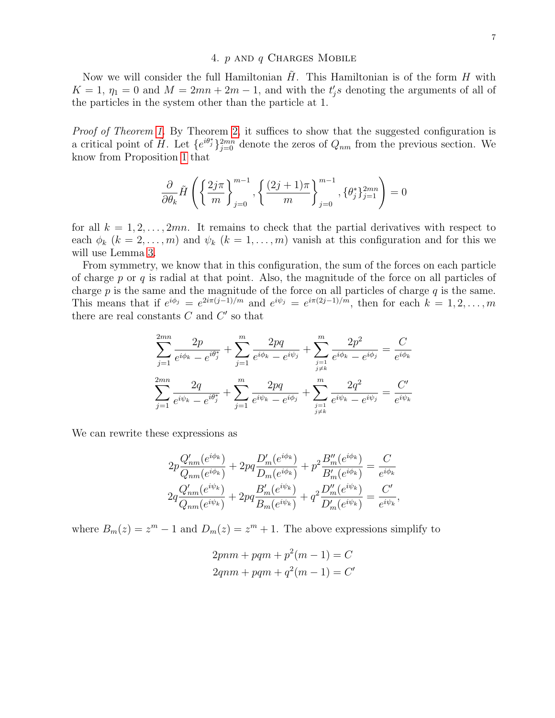### 4.  $p$  and  $q$  Charges Mobile

<span id="page-6-0"></span>Now we will consider the full Hamiltonian  $H$ . This Hamiltonian is of the form  $H$  with  $K = 1, \eta_1 = 0$  and  $M = 2mn + 2m - 1$ , and with the  $t'_j s$  denoting the arguments of all of the particles in the system other than the particle at 1.

Proof of Theorem [1.](#page-1-0) By Theorem [2,](#page-2-1) it suffices to show that the suggested configuration is a critical point of  $\tilde{H}$ . Let  $\{e^{i\theta_j^*}\}_{j=0}^{2mn}$  denote the zeros of  $Q_{nm}$  from the previous section. We know from Proposition [1](#page-4-2) that

$$
\frac{\partial}{\partial \theta_k} \tilde{H} \left( \left\{ \frac{2j\pi}{m} \right\}_{j=0}^{m-1}, \left\{ \frac{(2j+1)\pi}{m} \right\}_{j=0}^{m-1}, \left\{ \theta_j^* \right\}_{j=1}^{2mn} \right) = 0
$$

for all  $k = 1, 2, \ldots, 2mn$ . It remains to check that the partial derivatives with respect to each  $\phi_k$   $(k = 2, \ldots, m)$  and  $\psi_k$   $(k = 1, \ldots, m)$  vanish at this configuration and for this we will use Lemma [3.](#page-3-0)

From symmetry, we know that in this configuration, the sum of the forces on each particle of charge  $p$  or  $q$  is radial at that point. Also, the magnitude of the force on all particles of charge  $p$  is the same and the magnitude of the force on all particles of charge  $q$  is the same. This means that if  $e^{i\phi_j} = e^{2i\pi(j-1)/m}$  and  $e^{i\psi_j} = e^{i\pi(2j-1)/m}$ , then for each  $k = 1, 2, \ldots, m$ there are real constants  $C$  and  $C'$  so that

$$
\sum_{j=1}^{2mn} \frac{2p}{e^{i\phi_k} - e^{i\theta_j^*}} + \sum_{j=1}^m \frac{2pq}{e^{i\phi_k} - e^{i\psi_j}} + \sum_{\substack{j=1 \ j \neq k}}^m \frac{2p^2}{e^{i\phi_k} - e^{i\phi_j}} = \frac{C}{e^{i\phi_k}}
$$

$$
\sum_{j=1}^{2mn} \frac{2q}{e^{i\psi_k} - e^{i\theta_j^*}} + \sum_{j=1}^m \frac{2pq}{e^{i\psi_k} - e^{i\phi_j}} + \sum_{\substack{j=1 \ j \neq k}}^m \frac{2q^2}{e^{i\psi_k} - e^{i\psi_j}} = \frac{C'}{e^{i\psi_k}}
$$

We can rewrite these expressions as

$$
2p\frac{Q'_{nm}(e^{i\phi_k})}{Q_{nm}(e^{i\phi_k})} + 2pq\frac{D'_{m}(e^{i\phi_k})}{D_m(e^{i\phi_k})} + p^2\frac{B''_{m}(e^{i\phi_k})}{B'_{m}(e^{i\phi_k})} = \frac{C}{e^{i\phi_k}}
$$
  

$$
2q\frac{Q'_{nm}(e^{i\psi_k})}{Q_{nm}(e^{i\psi_k})} + 2pq\frac{B'_{m}(e^{i\psi_k})}{B_m(e^{i\psi_k})} + q^2\frac{D''_{m}(e^{i\psi_k})}{D'_{m}(e^{i\psi_k})} = \frac{C'}{e^{i\psi_k}},
$$

where  $B_m(z) = z^m - 1$  and  $D_m(z) = z^m + 1$ . The above expressions simplify to

$$
2pnm + pqm + p2(m - 1) = C
$$
  

$$
2qnm + pqm + q2(m - 1) = C'
$$